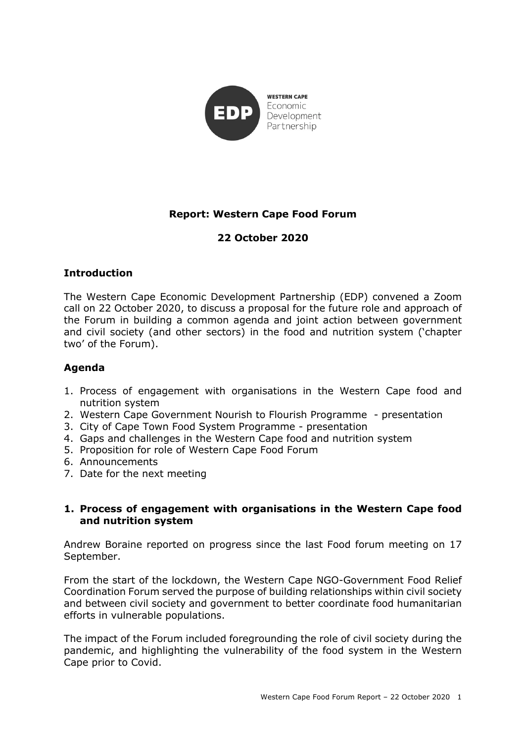

# **Report: Western Cape Food Forum**

# **22 October 2020**

### **Introduction**

The Western Cape Economic Development Partnership (EDP) convened a Zoom call on 22 October 2020, to discuss a proposal for the future role and approach of the Forum in building a common agenda and joint action between government and civil society (and other sectors) in the food and nutrition system ('chapter two' of the Forum).

### **Agenda**

- 1. Process of engagement with organisations in the Western Cape food and nutrition system
- 2. Western Cape Government Nourish to Flourish Programme presentation
- 3. City of Cape Town Food System Programme presentation
- 4. Gaps and challenges in the Western Cape food and nutrition system
- 5. Proposition for role of Western Cape Food Forum
- 6. Announcements
- 7. Date for the next meeting

#### **1. Process of engagement with organisations in the Western Cape food and nutrition system**

Andrew Boraine reported on progress since the last Food forum meeting on 17 September.

From the start of the lockdown, the Western Cape NGO-Government Food Relief Coordination Forum served the purpose of building relationships within civil society and between civil society and government to better coordinate food humanitarian efforts in vulnerable populations.

The impact of the Forum included foregrounding the role of civil society during the pandemic, and highlighting the vulnerability of the food system in the Western Cape prior to Covid.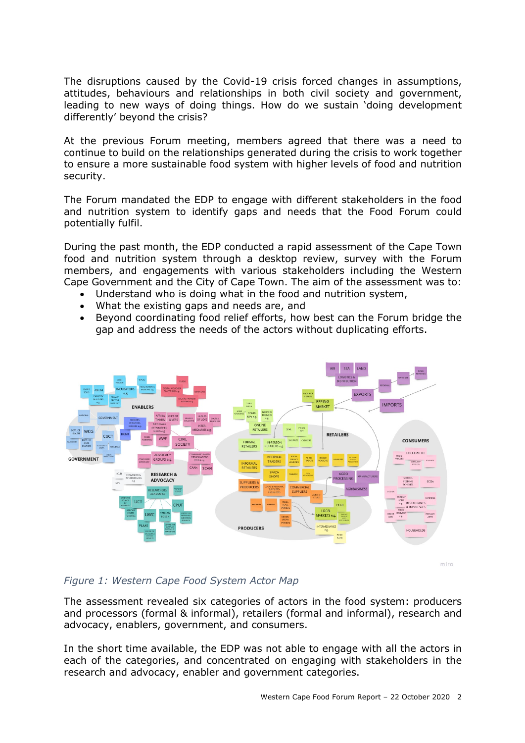The disruptions caused by the Covid-19 crisis forced changes in assumptions, attitudes, behaviours and relationships in both civil society and government, leading to new ways of doing things. How do we sustain 'doing development differently' beyond the crisis?

At the previous Forum meeting, members agreed that there was a need to continue to build on the relationships generated during the crisis to work together to ensure a more sustainable food system with higher levels of food and nutrition security.

The Forum mandated the EDP to engage with different stakeholders in the food and nutrition system to identify gaps and needs that the Food Forum could potentially fulfil.

During the past month, the EDP conducted a rapid assessment of the Cape Town food and nutrition system through a desktop review, survey with the Forum members, and engagements with various stakeholders including the Western Cape Government and the City of Cape Town. The aim of the assessment was to:

- Understand who is doing what in the food and nutrition system,
- What the existing gaps and needs are, and
- Beyond coordinating food relief efforts, how best can the Forum bridge the gap and address the needs of the actors without duplicating efforts.



miro

### *Figure 1: Western Cape Food System Actor Map*

The assessment revealed six categories of actors in the food system: producers and processors (formal & informal), retailers (formal and informal), research and advocacy, enablers, government, and consumers.

In the short time available, the EDP was not able to engage with all the actors in each of the categories, and concentrated on engaging with stakeholders in the research and advocacy, enabler and government categories.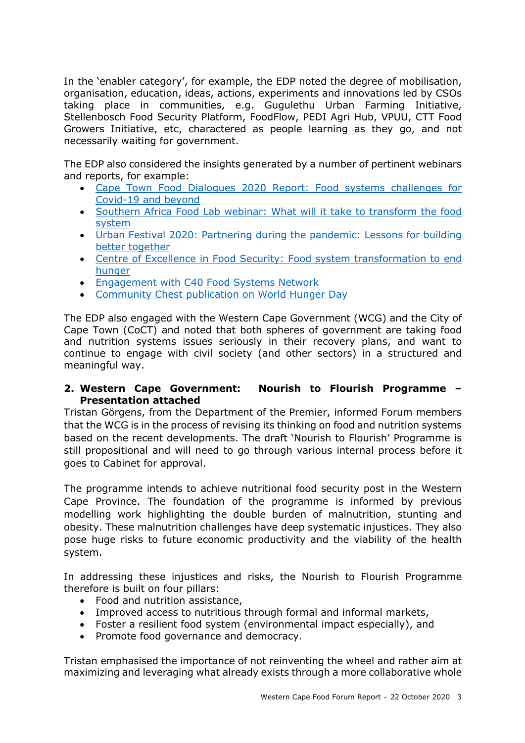In the 'enabler category', for example, the EDP noted the degree of mobilisation, organisation, education, ideas, actions, experiments and innovations led by CSOs taking place in communities, e.g. Gugulethu Urban Farming Initiative, Stellenbosch Food Security Platform, FoodFlow, PEDI Agri Hub, VPUU, CTT Food Growers Initiative, etc, charactered as people learning as they go, and not necessarily waiting for government.

The EDP also considered the insights generated by a number of pertinent webinars and reports, for example:

- Cape Town Food Dialogues 2020 Report: Food systems challenges for Covid-19 and beyond
- Southern Africa Food Lab webinar: What will it take to transform the food system
- Urban Festival 2020: Partnering during the pandemic: Lessons for building better together
- Centre of Excellence in Food Security: Food system transformation to end hunger
- Engagement with C40 Food Systems Network
- Community Chest publication on World Hunger Day

The EDP also engaged with the Western Cape Government (WCG) and the City of Cape Town (CoCT) and noted that both spheres of government are taking food and nutrition systems issues seriously in their recovery plans, and want to continue to engage with civil society (and other sectors) in a structured and meaningful way.

### **2. Western Cape Government: Nourish to Flourish Programme – Presentation attached**

Tristan Görgens, from the Department of the Premier, informed Forum members that the WCG is in the process of revising its thinking on food and nutrition systems based on the recent developments. The draft 'Nourish to Flourish' Programme is still propositional and will need to go through various internal process before it goes to Cabinet for approval.

The programme intends to achieve nutritional food security post in the Western Cape Province. The foundation of the programme is informed by previous modelling work highlighting the double burden of malnutrition, stunting and obesity. These malnutrition challenges have deep systematic injustices. They also pose huge risks to future economic productivity and the viability of the health system.

In addressing these injustices and risks, the Nourish to Flourish Programme therefore is built on four pillars:

- Food and nutrition assistance,
- Improved access to nutritious through formal and informal markets,
- Foster a resilient food system (environmental impact especially), and
- Promote food governance and democracy.

Tristan emphasised the importance of not reinventing the wheel and rather aim at maximizing and leveraging what already exists through a more collaborative whole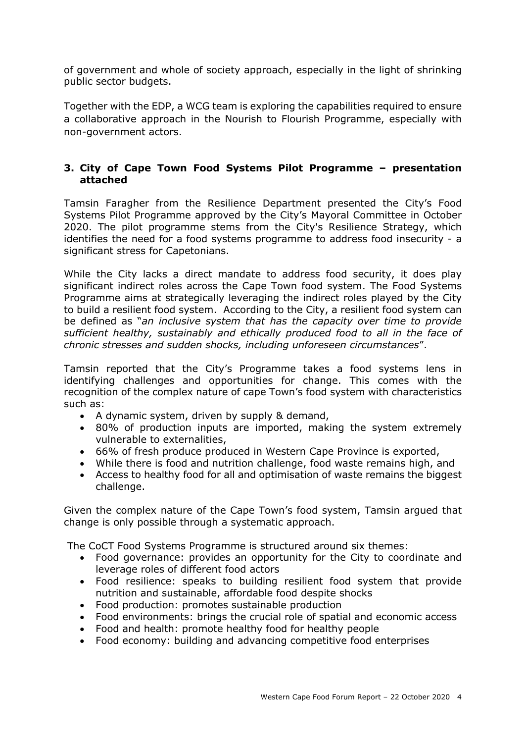of government and whole of society approach, especially in the light of shrinking public sector budgets.

Together with the EDP, a WCG team is exploring the capabilities required to ensure a collaborative approach in the Nourish to Flourish Programme, especially with non-government actors.

## **3. City of Cape Town Food Systems Pilot Programme – presentation attached**

Tamsin Faragher from the Resilience Department presented the City's Food Systems Pilot Programme approved by the City's Mayoral Committee in October 2020. The pilot programme stems from the City's Resilience Strategy, which identifies the need for a food systems programme to address food insecurity - a significant stress for Capetonians.

While the City lacks a direct mandate to address food security, it does play significant indirect roles across the Cape Town food system. The Food Systems Programme aims at strategically leveraging the indirect roles played by the City to build a resilient food system. According to the City, a resilient food system can be defined as "*an inclusive system that has the capacity over time to provide sufficient healthy, sustainably and ethically produced food to all in the face of chronic stresses and sudden shocks, including unforeseen circumstances*".

Tamsin reported that the City's Programme takes a food systems lens in identifying challenges and opportunities for change. This comes with the recognition of the complex nature of cape Town's food system with characteristics such as:

- A dynamic system, driven by supply & demand,
- 80% of production inputs are imported, making the system extremely vulnerable to externalities,
- 66% of fresh produce produced in Western Cape Province is exported,
- While there is food and nutrition challenge, food waste remains high, and
- Access to healthy food for all and optimisation of waste remains the biggest challenge.

Given the complex nature of the Cape Town's food system, Tamsin argued that change is only possible through a systematic approach.

The CoCT Food Systems Programme is structured around six themes:

- Food governance: provides an opportunity for the City to coordinate and leverage roles of different food actors
- Food resilience: speaks to building resilient food system that provide nutrition and sustainable, affordable food despite shocks
- Food production: promotes sustainable production
- Food environments: brings the crucial role of spatial and economic access
- Food and health: promote healthy food for healthy people
- Food economy: building and advancing competitive food enterprises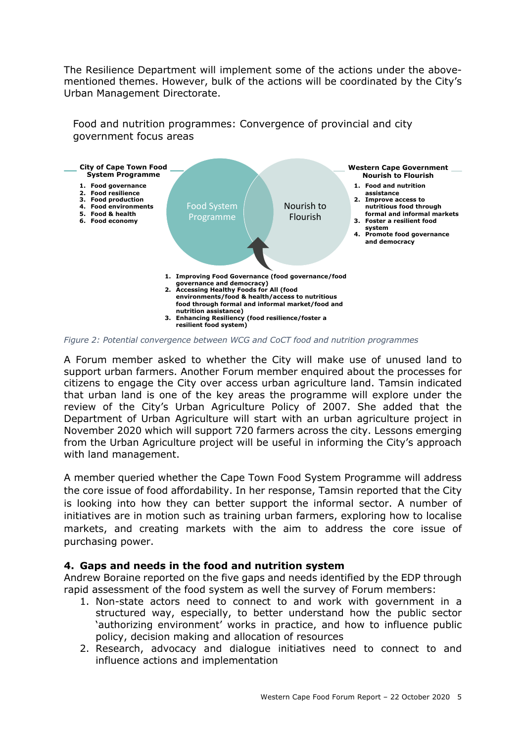The Resilience Department will implement some of the actions under the abovementioned themes. However, bulk of the actions will be coordinated by the City's Urban Management Directorate.

Food and nutrition programmes: Convergence of provincial and city government focus areas



*Figure 2: Potential convergence between WCG and CoCT food and nutrition programmes*

A Forum member asked to whether the City will make use of unused land to support urban farmers. Another Forum member enquired about the processes for citizens to engage the City over access urban agriculture land. Tamsin indicated that urban land is one of the key areas the programme will explore under the review of the City's Urban Agriculture Policy of 2007. She added that the Department of Urban Agriculture will start with an urban agriculture project in November 2020 which will support 720 farmers across the city. Lessons emerging from the Urban Agriculture project will be useful in informing the City's approach with land management.

A member queried whether the Cape Town Food System Programme will address the core issue of food affordability. In her response, Tamsin reported that the City is looking into how they can better support the informal sector. A number of initiatives are in motion such as training urban farmers, exploring how to localise markets, and creating markets with the aim to address the core issue of purchasing power.

### **4. Gaps and needs in the food and nutrition system**

Andrew Boraine reported on the five gaps and needs identified by the EDP through rapid assessment of the food system as well the survey of Forum members:

- 1. Non-state actors need to connect to and work with government in a structured way, especially, to better understand how the public sector 'authorizing environment' works in practice, and how to influence public policy, decision making and allocation of resources
- 2. Research, advocacy and dialogue initiatives need to connect to and influence actions and implementation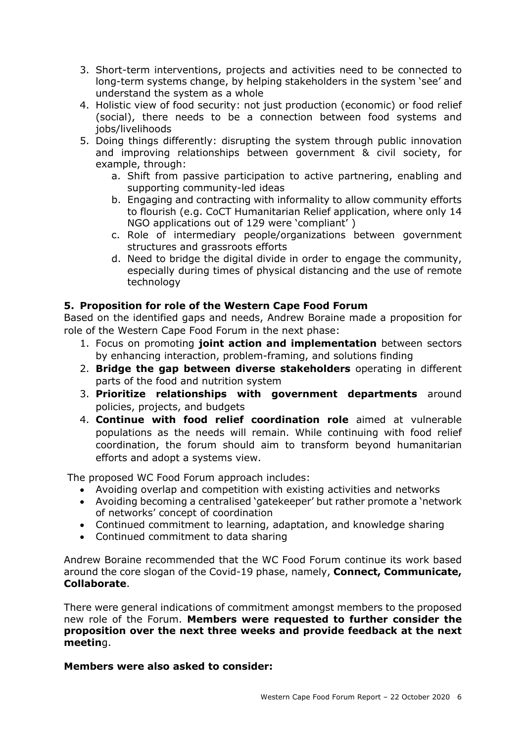- 3. Short-term interventions, projects and activities need to be connected to long-term systems change, by helping stakeholders in the system 'see' and understand the system as a whole
- 4. Holistic view of food security: not just production (economic) or food relief (social), there needs to be a connection between food systems and jobs/livelihoods
- 5. Doing things differently: disrupting the system through public innovation and improving relationships between government & civil society, for example, through:
	- a. Shift from passive participation to active partnering, enabling and supporting community-led ideas
	- b. Engaging and contracting with informality to allow community efforts to flourish (e.g. CoCT Humanitarian Relief application, where only 14 NGO applications out of 129 were 'compliant' )
	- c. Role of intermediary people/organizations between government structures and grassroots efforts
	- d. Need to bridge the digital divide in order to engage the community, especially during times of physical distancing and the use of remote technology

### **5. Proposition for role of the Western Cape Food Forum**

Based on the identified gaps and needs, Andrew Boraine made a proposition for role of the Western Cape Food Forum in the next phase:

- 1. Focus on promoting **joint action and implementation** between sectors by enhancing interaction, problem-framing, and solutions finding
- 2. **Bridge the gap between diverse stakeholders** operating in different parts of the food and nutrition system
- 3. **Prioritize relationships with government departments** around policies, projects, and budgets
- 4. **Continue with food relief coordination role** aimed at vulnerable populations as the needs will remain. While continuing with food relief coordination, the forum should aim to transform beyond humanitarian efforts and adopt a systems view.

The proposed WC Food Forum approach includes:

- Avoiding overlap and competition with existing activities and networks
- Avoiding becoming a centralised 'gatekeeper' but rather promote a 'network of networks' concept of coordination
- Continued commitment to learning, adaptation, and knowledge sharing
- Continued commitment to data sharing

Andrew Boraine recommended that the WC Food Forum continue its work based around the core slogan of the Covid-19 phase, namely, **Connect, Communicate, Collaborate**.

There were general indications of commitment amongst members to the proposed new role of the Forum. **Members were requested to further consider the proposition over the next three weeks and provide feedback at the next meetin**g.

### **Members were also asked to consider:**